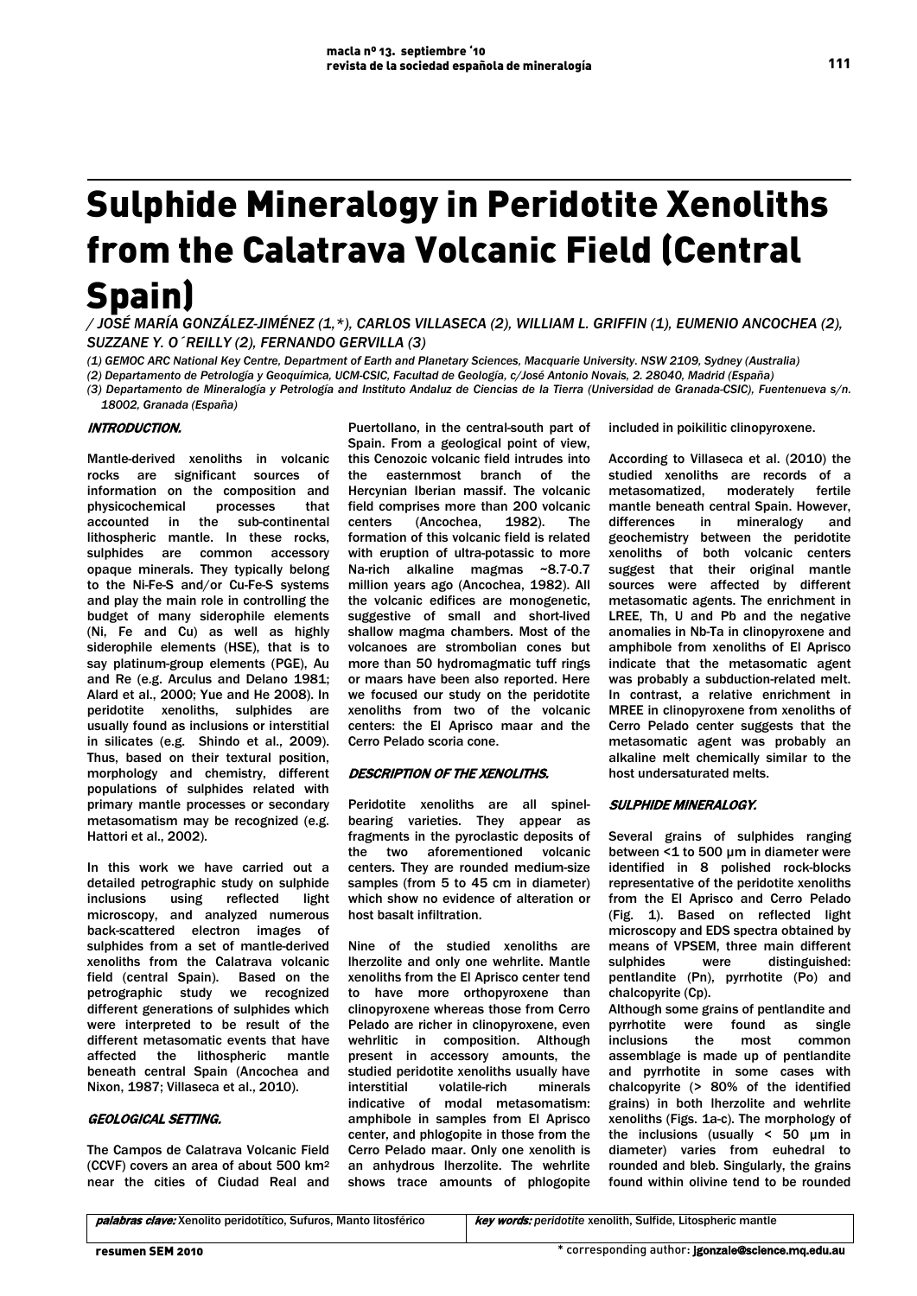# Sulphide Mineralogy in Peridotite Xenoliths from the Calatrava Volcanic Field (Central Spain)

*/ JOSÉ MARÍA GONZÁLEZ-JIMÉNEZ (1,\*), CARLOS VILLASECA (2), WILLIAM L. GRIFFIN (1), EUMENIO ANCOCHEA (2), SUZZANE Y. O´REILLY (2), FERNANDO GERVILLA (3)*

*(1) GEMOC ARC National Key Centre, Department of Earth and Planetary Sciences, Macquarie University. NSW 2109, Sydney (Australia)*

*(2) Departamento de Petrología y Geoquímica, UCM-CSIC, Facultad de Geología, c/José Antonio Novais, 2. 28040, Madrid (España)*

*(3) Departamento de Mineralogía y Petrología and Instituto Andaluz de Ciencias de la Tierra (Universidad de Granada-CSIC), Fuentenueva s/n.*

*18002, Granada (España)* 

## INTRODUCTION.

Mantle-derived xenoliths in volcanic rocks are significant sources of information on the composition and physicochemical processes that accounted in the sub-continental lithospheric mantle. In these rocks, sulphides are common accessory opaque minerals. They typically belong to the Ni-Fe-S and/or Cu-Fe-S systems and play the main role in controlling the budget of many siderophile elements (Ni, Fe and Cu) as well as highly siderophile elements (HSE), that is to say platinum-group elements (PGE), Au and Re (e.g. Arculus and Delano 1981; Alard et al., 2000; Yue and He 2008). In peridotite xenoliths, sulphides are usually found as inclusions or interstitial in silicates (e.g. Shindo et al., 2009). Thus, based on their textural position, morphology and chemistry, different populations of sulphides related with primary mantle processes or secondary metasomatism may be recognized (e.g. Hattori et al., 2002).

In this work we have carried out a detailed petrographic study on sulphide<br>inclusions using reflected light inclusions microscopy, and analyzed numerous back-scattered electron images of sulphides from a set of mantle-derived xenoliths from the Calatrava volcanic field (central Spain). Based on the petrographic study we recognized different generations of sulphides which were interpreted to be result of the different metasomatic events that have affected the lithospheric mantle beneath central Spain (Ancochea and Nixon, 1987; Villaseca et al., 2010).

## GEOLOGICAL SETTING.

The Campos de Calatrava Volcanic Field (CCVF) covers an area of about 500 km2 near the cities of Ciudad Real and

Puertollano, in the central-south part of Spain. From a geological point of view, this Cenozoic volcanic field intrudes into the easternmost branch of the Hercynian Iberian massif. The volcanic field comprises more than 200 volcanic centers (Ancochea, 1982). The formation of this volcanic field is related with eruption of ultra-potassic to more Na-rich alkaline magmas ~8.7-0.7 million years ago (Ancochea, 1982). All the volcanic edifices are monogenetic, suggestive of small and short-lived shallow magma chambers. Most of the volcanoes are strombolian cones but more than 50 hydromagmatic tuff rings or maars have been also reported. Here we focused our study on the peridotite xenoliths from two of the volcanic centers: the El Aprisco maar and the Cerro Pelado scoria cone.

### DESCRIPTION OF THE XENOLITHS.

Peridotite xenoliths are all spinelbearing varieties. They appear as fragments in the pyroclastic deposits of the two aforementioned volcanic centers. They are rounded medium-size samples (from 5 to 45 cm in diameter) which show no evidence of alteration or host basalt infiltration.

Nine of the studied xenoliths are lherzolite and only one wehrlite. Mantle xenoliths from the El Aprisco center tend to have more orthopyroxene than clinopyroxene whereas those from Cerro Pelado are richer in clinopyroxene, even wehrlitic in composition. Although present in accessory amounts, the studied peridotite xenoliths usually have<br>interstitial volatile-rich minerals interstitial volatile-rich indicative of modal metasomatism: amphibole in samples from El Aprisco center, and phlogopite in those from the Cerro Pelado maar. Only one xenolith is an anhydrous lherzolite. The wehrlite shows trace amounts of phlogopite included in poikilitic clinopyroxene.

According to Villaseca et al. (2010) the studied xenoliths are records of a metasomatized, moderately fertile mantle beneath central Spain. However, differences in mineralogy and geochemistry between the peridotite xenoliths of both volcanic centers suggest that their original mantle sources were affected by different metasomatic agents. The enrichment in LREE, Th, U and Pb and the negative anomalies in Nb-Ta in clinopyroxene and amphibole from xenoliths of El Aprisco indicate that the metasomatic agent was probably a subduction-related melt. In contrast, a relative enrichment in MREE in clinopyroxene from xenoliths of Cerro Pelado center suggests that the metasomatic agent was probably an alkaline melt chemically similar to the host undersaturated melts.

#### SULPHIDE MINERALOGY.

Several grains of sulphides ranging between <1 to 500 µm in diameter were identified in 8 polished rock-blocks representative of the peridotite xenoliths from the El Aprisco and Cerro Pelado (Fig. 1). Based on reflected light microscopy and EDS spectra obtained by means of VPSEM, three main different sulphides were distinguished: pentlandite (Pn), pyrrhotite (Po) and chalcopyrite (Cp).

Although some grains of pentlandite and<br>
pyrrhotite were found as single as single inclusions the most common assemblage is made up of pentlandite and pyrrhotite in some cases with chalcopyrite (> 80% of the identified grains) in both lherzolite and wehrlite xenoliths (Figs. 1a-c). The morphology of the inclusions (usually  $< 50$  µm in diameter) varies from euhedral to rounded and bleb. Singularly, the grains found within olivine tend to be rounded

palabras clave: Xenolito peridotítico, Sufuros, Manto litosférico key words: peridotite xenolith, Sulfide, Litospheric mantle